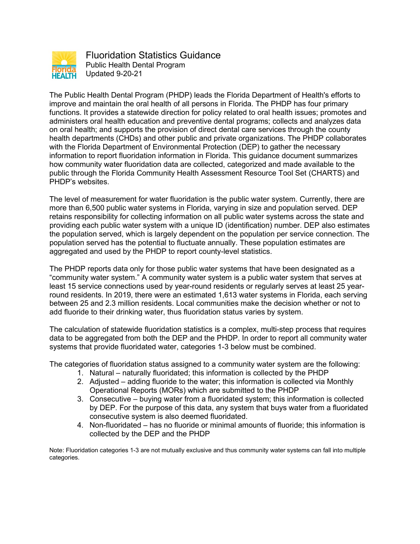

Fluoridation Statistics Guidance Public Health Dental Program Updated 9-20-21

The Public Health Dental Program (PHDP) leads the Florida Department of Health's efforts to improve and maintain the oral health of all persons in Florida. The PHDP has four primary functions. It provides a statewide direction for policy related to oral health issues; promotes and administers oral health education and preventive dental programs; collects and analyzes data on oral health; and supports the provision of direct dental care services through the county health departments (CHDs) and other public and private organizations. The PHDP collaborates with the Florida Department of Environmental Protection (DEP) to gather the necessary information to report fluoridation information in Florida. This guidance document summarizes how community water fluoridation data are collected, categorized and made available to the public through the Florida Community Health Assessment Resource Tool Set (CHARTS) and PHDP's websites.

The level of measurement for water fluoridation is the public water system. Currently, there are more than 6,500 public water systems in Florida, varying in size and population served. DEP retains responsibility for collecting information on all public water systems across the state and providing each public water system with a unique ID (identification) number. DEP also estimates the population served, which is largely dependent on the population per service connection. The population served has the potential to fluctuate annually. These population estimates are aggregated and used by the PHDP to report county-level statistics.

The PHDP reports data only for those public water systems that have been designated as a "community water system." A community water system is a public water system that serves at least 15 service connections used by year-round residents or regularly serves at least 25 yearround residents. In 2019, there were an estimated 1,613 water systems in Florida, each serving between 25 and 2.3 million residents. Local communities make the decision whether or not to add fluoride to their drinking water, thus fluoridation status varies by system.

The calculation of statewide fluoridation statistics is a complex, multi-step process that requires data to be aggregated from both the DEP and the PHDP. In order to report all community water systems that provide fluoridated water, categories 1-3 below must be combined.

The categories of fluoridation status assigned to a community water system are the following:

- 1. Natural naturally fluoridated; this information is collected by the PHDP
- 2. Adjusted adding fluoride to the water; this information is collected via Monthly Operational Reports (MORs) which are submitted to the PHDP
- 3. Consecutive buying water from a fluoridated system; this information is collected by DEP. For the purpose of this data, any system that buys water from a fluoridated consecutive system is also deemed fluoridated.
- 4. Non-fluoridated has no fluoride or minimal amounts of fluoride; this information is collected by the DEP and the PHDP

Note: Fluoridation categories 1-3 are not mutually exclusive and thus community water systems can fall into multiple categories.